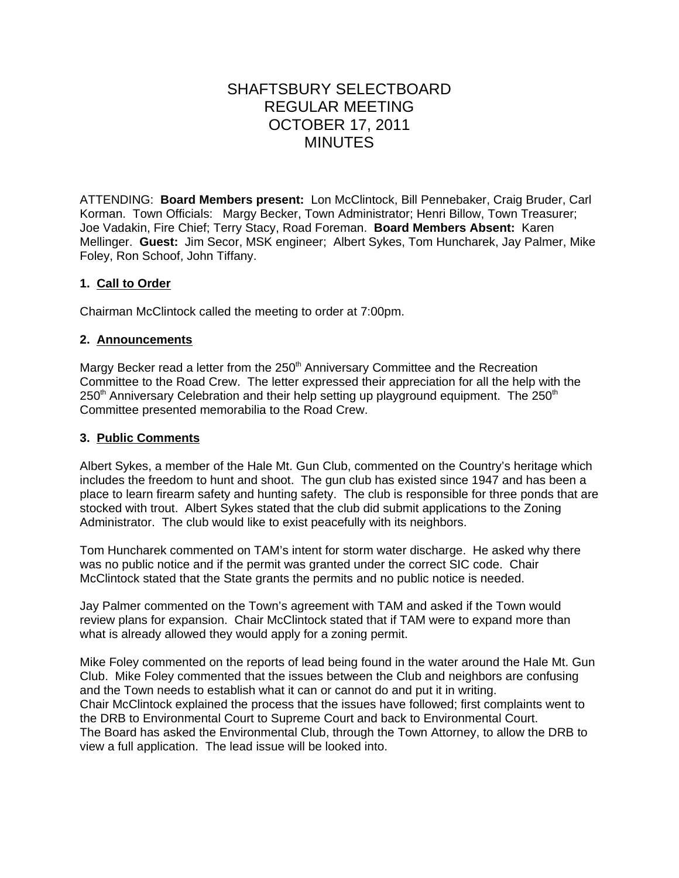# SHAFTSBURY SELECTBOARD REGULAR MEETING OCTOBER 17, 2011 **MINUTES**

ATTENDING: **Board Members present:** Lon McClintock, Bill Pennebaker, Craig Bruder, Carl Korman. Town Officials: Margy Becker, Town Administrator; Henri Billow, Town Treasurer; Joe Vadakin, Fire Chief; Terry Stacy, Road Foreman. **Board Members Absent:** Karen Mellinger. **Guest:** Jim Secor, MSK engineer; Albert Sykes, Tom Huncharek, Jay Palmer, Mike Foley, Ron Schoof, John Tiffany.

## **1. Call to Order**

Chairman McClintock called the meeting to order at 7:00pm.

#### **2. Announcements**

Margy Becker read a letter from the 250<sup>th</sup> Anniversary Committee and the Recreation Committee to the Road Crew. The letter expressed their appreciation for all the help with the  $250<sup>th</sup>$  Anniversary Celebration and their help setting up playground equipment. The  $250<sup>th</sup>$ Committee presented memorabilia to the Road Crew.

#### **3. Public Comments**

Albert Sykes, a member of the Hale Mt. Gun Club, commented on the Country's heritage which includes the freedom to hunt and shoot. The gun club has existed since 1947 and has been a place to learn firearm safety and hunting safety. The club is responsible for three ponds that are stocked with trout. Albert Sykes stated that the club did submit applications to the Zoning Administrator. The club would like to exist peacefully with its neighbors.

Tom Huncharek commented on TAM's intent for storm water discharge. He asked why there was no public notice and if the permit was granted under the correct SIC code. Chair McClintock stated that the State grants the permits and no public notice is needed.

Jay Palmer commented on the Town's agreement with TAM and asked if the Town would review plans for expansion. Chair McClintock stated that if TAM were to expand more than what is already allowed they would apply for a zoning permit.

Mike Foley commented on the reports of lead being found in the water around the Hale Mt. Gun Club. Mike Foley commented that the issues between the Club and neighbors are confusing and the Town needs to establish what it can or cannot do and put it in writing. Chair McClintock explained the process that the issues have followed; first complaints went to the DRB to Environmental Court to Supreme Court and back to Environmental Court. The Board has asked the Environmental Club, through the Town Attorney, to allow the DRB to view a full application. The lead issue will be looked into.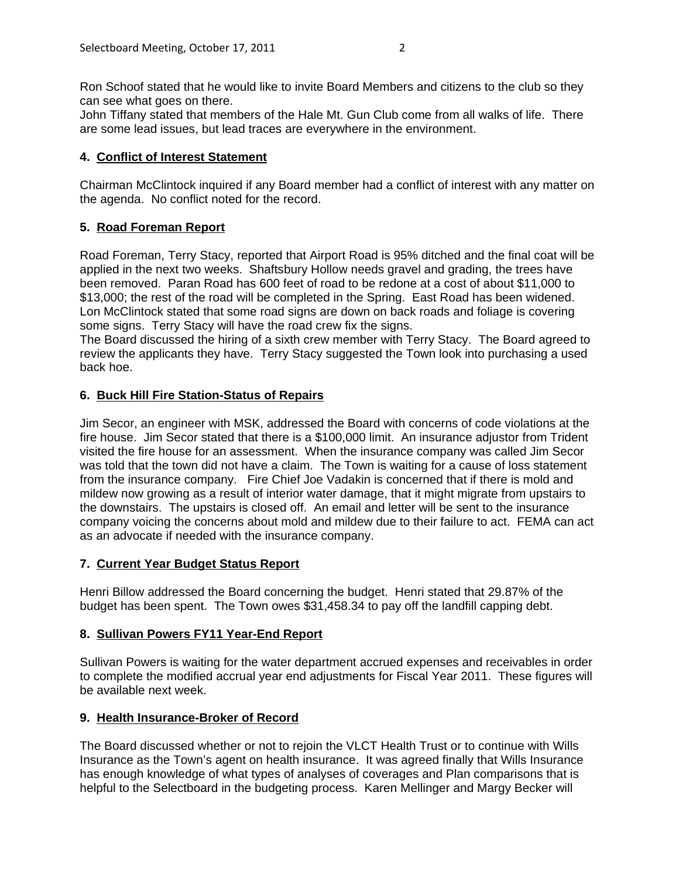Ron Schoof stated that he would like to invite Board Members and citizens to the club so they can see what goes on there.

John Tiffany stated that members of the Hale Mt. Gun Club come from all walks of life. There are some lead issues, but lead traces are everywhere in the environment.

## **4. Conflict of Interest Statement**

Chairman McClintock inquired if any Board member had a conflict of interest with any matter on the agenda. No conflict noted for the record.

# **5. Road Foreman Report**

Road Foreman, Terry Stacy, reported that Airport Road is 95% ditched and the final coat will be applied in the next two weeks. Shaftsbury Hollow needs gravel and grading, the trees have been removed. Paran Road has 600 feet of road to be redone at a cost of about \$11,000 to \$13,000; the rest of the road will be completed in the Spring. East Road has been widened. Lon McClintock stated that some road signs are down on back roads and foliage is covering some signs. Terry Stacy will have the road crew fix the signs.

The Board discussed the hiring of a sixth crew member with Terry Stacy. The Board agreed to review the applicants they have. Terry Stacy suggested the Town look into purchasing a used back hoe.

# **6. Buck Hill Fire Station-Status of Repairs**

Jim Secor, an engineer with MSK, addressed the Board with concerns of code violations at the fire house. Jim Secor stated that there is a \$100,000 limit. An insurance adjustor from Trident visited the fire house for an assessment. When the insurance company was called Jim Secor was told that the town did not have a claim. The Town is waiting for a cause of loss statement from the insurance company. Fire Chief Joe Vadakin is concerned that if there is mold and mildew now growing as a result of interior water damage, that it might migrate from upstairs to the downstairs. The upstairs is closed off. An email and letter will be sent to the insurance company voicing the concerns about mold and mildew due to their failure to act. FEMA can act as an advocate if needed with the insurance company.

## **7. Current Year Budget Status Report**

Henri Billow addressed the Board concerning the budget. Henri stated that 29.87% of the budget has been spent. The Town owes \$31,458.34 to pay off the landfill capping debt.

## **8. Sullivan Powers FY11 Year-End Report**

Sullivan Powers is waiting for the water department accrued expenses and receivables in order to complete the modified accrual year end adjustments for Fiscal Year 2011. These figures will be available next week.

## **9. Health Insurance-Broker of Record**

The Board discussed whether or not to rejoin the VLCT Health Trust or to continue with Wills Insurance as the Town's agent on health insurance. It was agreed finally that Wills Insurance has enough knowledge of what types of analyses of coverages and Plan comparisons that is helpful to the Selectboard in the budgeting process. Karen Mellinger and Margy Becker will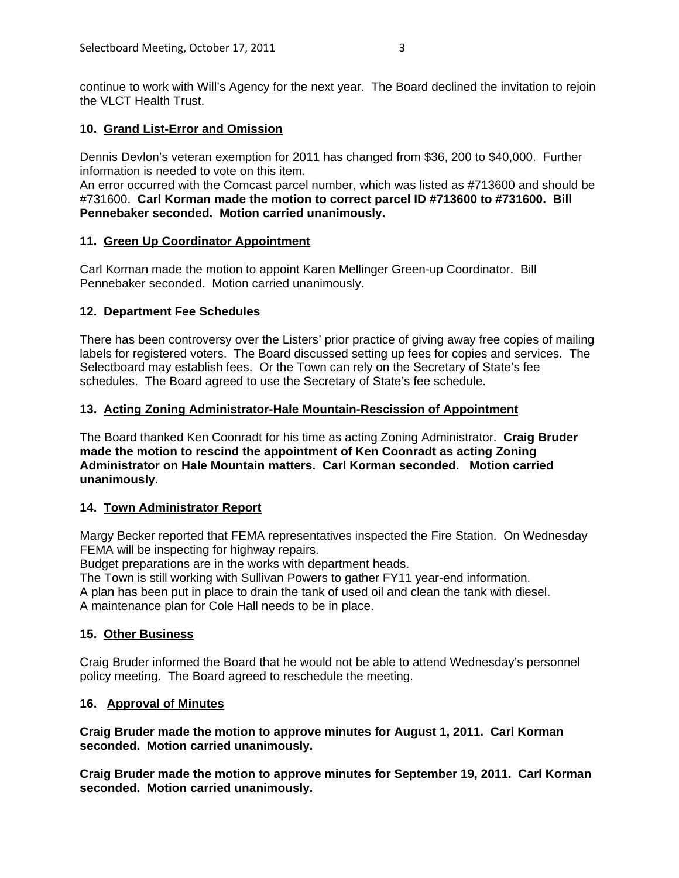continue to work with Will's Agency for the next year. The Board declined the invitation to rejoin the VLCT Health Trust.

## **10. Grand List-Error and Omission**

Dennis Devlon's veteran exemption for 2011 has changed from \$36, 200 to \$40,000. Further information is needed to vote on this item.

An error occurred with the Comcast parcel number, which was listed as #713600 and should be #731600. **Carl Korman made the motion to correct parcel ID #713600 to #731600. Bill Pennebaker seconded. Motion carried unanimously.**

## **11. Green Up Coordinator Appointment**

Carl Korman made the motion to appoint Karen Mellinger Green-up Coordinator. Bill Pennebaker seconded. Motion carried unanimously.

# **12. Department Fee Schedules**

There has been controversy over the Listers' prior practice of giving away free copies of mailing labels for registered voters. The Board discussed setting up fees for copies and services. The Selectboard may establish fees. Or the Town can rely on the Secretary of State's fee schedules. The Board agreed to use the Secretary of State's fee schedule.

# **13. Acting Zoning Administrator-Hale Mountain-Rescission of Appointment**

The Board thanked Ken Coonradt for his time as acting Zoning Administrator. **Craig Bruder made the motion to rescind the appointment of Ken Coonradt as acting Zoning Administrator on Hale Mountain matters. Carl Korman seconded. Motion carried unanimously.**

## **14. Town Administrator Report**

Margy Becker reported that FEMA representatives inspected the Fire Station. On Wednesday FEMA will be inspecting for highway repairs.

Budget preparations are in the works with department heads.

The Town is still working with Sullivan Powers to gather FY11 year-end information. A plan has been put in place to drain the tank of used oil and clean the tank with diesel. A maintenance plan for Cole Hall needs to be in place.

## **15. Other Business**

Craig Bruder informed the Board that he would not be able to attend Wednesday's personnel policy meeting. The Board agreed to reschedule the meeting.

## **16. Approval of Minutes**

**Craig Bruder made the motion to approve minutes for August 1, 2011. Carl Korman seconded. Motion carried unanimously.**

**Craig Bruder made the motion to approve minutes for September 19, 2011. Carl Korman seconded. Motion carried unanimously.**